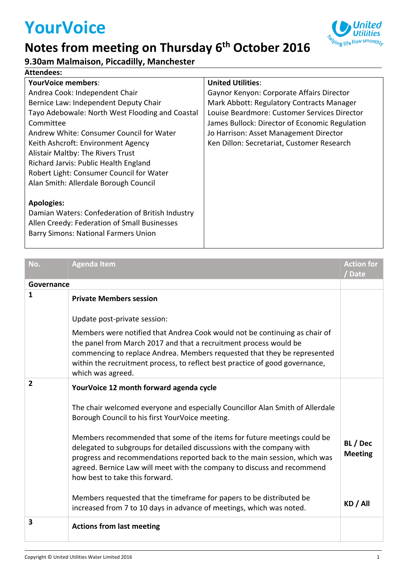# **YourVoice**

#### **Notes from meeting on Thursday 6th October 2016**



#### **9.30am Malmaison, Piccadilly, Manchester**

| <b>Attendees:</b> |  |
|-------------------|--|
|-------------------|--|

| YourVoice members:                               | <b>United Utilities:</b>                       |
|--------------------------------------------------|------------------------------------------------|
| Andrea Cook: Independent Chair                   | Gaynor Kenyon: Corporate Affairs Director      |
| Bernice Law: Independent Deputy Chair            | Mark Abbott: Regulatory Contracts Manager      |
| Tayo Adebowale: North West Flooding and Coastal  | Louise Beardmore: Customer Services Director   |
| Committee                                        | James Bullock: Director of Economic Regulation |
| Andrew White: Consumer Council for Water         | Jo Harrison: Asset Management Director         |
| Keith Ashcroft: Environment Agency               | Ken Dillon: Secretariat, Customer Research     |
| Alistair Maltby: The Rivers Trust                |                                                |
| Richard Jarvis: Public Health England            |                                                |
| Robert Light: Consumer Council for Water         |                                                |
| Alan Smith: Allerdale Borough Council            |                                                |
|                                                  |                                                |
| <b>Apologies:</b>                                |                                                |
| Damian Waters: Confederation of British Industry |                                                |
| Allen Creedy: Federation of Small Businesses     |                                                |
| <b>Barry Simons: National Farmers Union</b>      |                                                |

| No.                     | <b>Agenda Item</b>                                                                                                                                                                                                                                                                                                                         | <b>Action for</b><br>/Date |
|-------------------------|--------------------------------------------------------------------------------------------------------------------------------------------------------------------------------------------------------------------------------------------------------------------------------------------------------------------------------------------|----------------------------|
| Governance              |                                                                                                                                                                                                                                                                                                                                            |                            |
| $\mathbf{1}$            | <b>Private Members session</b>                                                                                                                                                                                                                                                                                                             |                            |
|                         | Update post-private session:                                                                                                                                                                                                                                                                                                               |                            |
|                         | Members were notified that Andrea Cook would not be continuing as chair of<br>the panel from March 2017 and that a recruitment process would be<br>commencing to replace Andrea. Members requested that they be represented<br>within the recruitment process, to reflect best practice of good governance,<br>which was agreed.           |                            |
| $\overline{2}$          | YourVoice 12 month forward agenda cycle<br>The chair welcomed everyone and especially Councillor Alan Smith of Allerdale<br>Borough Council to his first YourVoice meeting.                                                                                                                                                                |                            |
|                         | Members recommended that some of the items for future meetings could be<br>delegated to subgroups for detailed discussions with the company with<br>progress and recommendations reported back to the main session, which was<br>agreed. Bernice Law will meet with the company to discuss and recommend<br>how best to take this forward. | BL / Dec<br><b>Meeting</b> |
|                         | Members requested that the timeframe for papers to be distributed be<br>increased from 7 to 10 days in advance of meetings, which was noted.                                                                                                                                                                                               | KD / All                   |
| $\overline{\mathbf{3}}$ | <b>Actions from last meeting</b>                                                                                                                                                                                                                                                                                                           |                            |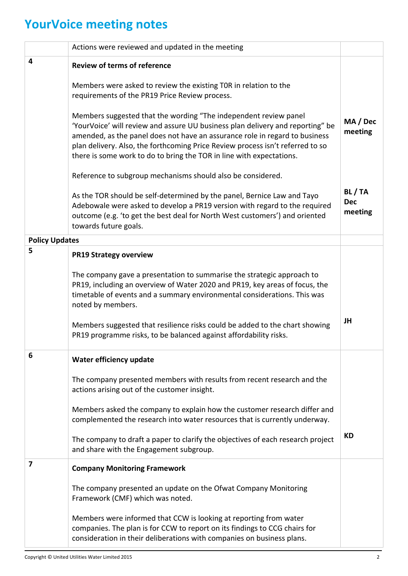## **YourVoice meeting notes**

|                       | Actions were reviewed and updated in the meeting                                                                                                                                                                                                                                                                                                                                            |                                |
|-----------------------|---------------------------------------------------------------------------------------------------------------------------------------------------------------------------------------------------------------------------------------------------------------------------------------------------------------------------------------------------------------------------------------------|--------------------------------|
| 4                     | <b>Review of terms of reference</b>                                                                                                                                                                                                                                                                                                                                                         |                                |
|                       | Members were asked to review the existing TOR in relation to the<br>requirements of the PR19 Price Review process.                                                                                                                                                                                                                                                                          |                                |
|                       | Members suggested that the wording "The independent review panel<br>'YourVoice' will review and assure UU business plan delivery and reporting" be<br>amended, as the panel does not have an assurance role in regard to business<br>plan delivery. Also, the forthcoming Price Review process isn't referred to so<br>there is some work to do to bring the TOR in line with expectations. | MA / Dec<br>meeting            |
|                       | Reference to subgroup mechanisms should also be considered.                                                                                                                                                                                                                                                                                                                                 |                                |
|                       | As the TOR should be self-determined by the panel, Bernice Law and Tayo<br>Adebowale were asked to develop a PR19 version with regard to the required<br>outcome (e.g. 'to get the best deal for North West customers') and oriented<br>towards future goals.                                                                                                                               | BL/TA<br><b>Dec</b><br>meeting |
| <b>Policy Updates</b> |                                                                                                                                                                                                                                                                                                                                                                                             |                                |
| 5                     | <b>PR19 Strategy overview</b>                                                                                                                                                                                                                                                                                                                                                               |                                |
|                       | The company gave a presentation to summarise the strategic approach to<br>PR19, including an overview of Water 2020 and PR19, key areas of focus, the<br>timetable of events and a summary environmental considerations. This was<br>noted by members.                                                                                                                                      | JH                             |
|                       | Members suggested that resilience risks could be added to the chart showing<br>PR19 programme risks, to be balanced against affordability risks.                                                                                                                                                                                                                                            |                                |
| 6                     | Water efficiency update                                                                                                                                                                                                                                                                                                                                                                     |                                |
|                       | The company presented members with results from recent research and the<br>actions arising out of the customer insight.                                                                                                                                                                                                                                                                     |                                |
|                       | Members asked the company to explain how the customer research differ and<br>complemented the research into water resources that is currently underway.                                                                                                                                                                                                                                     |                                |
|                       | The company to draft a paper to clarify the objectives of each research project<br>and share with the Engagement subgroup.                                                                                                                                                                                                                                                                  | <b>KD</b>                      |
| 7                     | <b>Company Monitoring Framework</b>                                                                                                                                                                                                                                                                                                                                                         |                                |
|                       | The company presented an update on the Ofwat Company Monitoring<br>Framework (CMF) which was noted.                                                                                                                                                                                                                                                                                         |                                |
|                       | Members were informed that CCW is looking at reporting from water<br>companies. The plan is for CCW to report on its findings to CCG chairs for<br>consideration in their deliberations with companies on business plans.                                                                                                                                                                   |                                |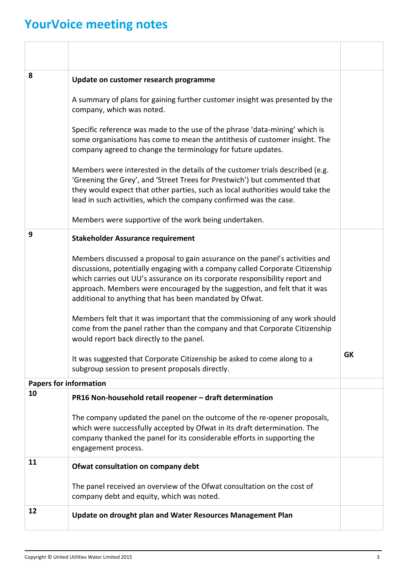### **YourVoice meeting notes**

| 8                             | Update on customer research programme                                                                                                                                                                                                                                                                                                                                                |           |
|-------------------------------|--------------------------------------------------------------------------------------------------------------------------------------------------------------------------------------------------------------------------------------------------------------------------------------------------------------------------------------------------------------------------------------|-----------|
|                               | A summary of plans for gaining further customer insight was presented by the<br>company, which was noted.                                                                                                                                                                                                                                                                            |           |
|                               | Specific reference was made to the use of the phrase 'data-mining' which is<br>some organisations has come to mean the antithesis of customer insight. The<br>company agreed to change the terminology for future updates.                                                                                                                                                           |           |
|                               | Members were interested in the details of the customer trials described (e.g.<br>'Greening the Grey', and 'Street Trees for Prestwich') but commented that<br>they would expect that other parties, such as local authorities would take the<br>lead in such activities, which the company confirmed was the case.                                                                   |           |
|                               | Members were supportive of the work being undertaken.                                                                                                                                                                                                                                                                                                                                |           |
| 9                             | <b>Stakeholder Assurance requirement</b>                                                                                                                                                                                                                                                                                                                                             |           |
|                               | Members discussed a proposal to gain assurance on the panel's activities and<br>discussions, potentially engaging with a company called Corporate Citizenship<br>which carries out UU's assurance on its corporate responsibility report and<br>approach. Members were encouraged by the suggestion, and felt that it was<br>additional to anything that has been mandated by Ofwat. |           |
|                               | Members felt that it was important that the commissioning of any work should<br>come from the panel rather than the company and that Corporate Citizenship<br>would report back directly to the panel.                                                                                                                                                                               |           |
|                               | It was suggested that Corporate Citizenship be asked to come along to a<br>subgroup session to present proposals directly.                                                                                                                                                                                                                                                           | <b>GK</b> |
| <b>Papers for information</b> |                                                                                                                                                                                                                                                                                                                                                                                      |           |
| 10                            | PR16 Non-household retail reopener - draft determination                                                                                                                                                                                                                                                                                                                             |           |
|                               | The company updated the panel on the outcome of the re-opener proposals,<br>which were successfully accepted by Ofwat in its draft determination. The<br>company thanked the panel for its considerable efforts in supporting the<br>engagement process.                                                                                                                             |           |
| 11                            | Ofwat consultation on company debt                                                                                                                                                                                                                                                                                                                                                   |           |
|                               | The panel received an overview of the Ofwat consultation on the cost of<br>company debt and equity, which was noted.                                                                                                                                                                                                                                                                 |           |
| 12                            | Update on drought plan and Water Resources Management Plan                                                                                                                                                                                                                                                                                                                           |           |
|                               |                                                                                                                                                                                                                                                                                                                                                                                      |           |